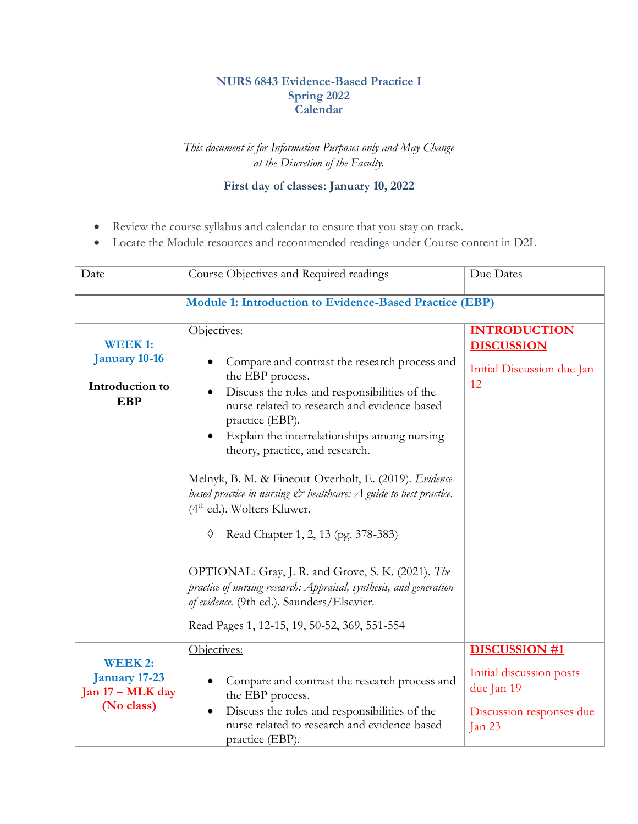## **NURS 6843 Evidence-Based Practice I Spring 2022 Calendar**

## *This document is for Information Purposes only and May Change at the Discretion of the Faculty.*

## **First day of classes: January 10, 2022**

- Review the course syllabus and calendar to ensure that you stay on track.
- Locate the Module resources and recommended readings under Course content in D2L

| Date                                                                             | Course Objectives and Required readings                                                                                                                                                                                                                                                                                                                                                                                                                                                                                                                                                                                                                                                                                                    | Due Dates                                                                                              |
|----------------------------------------------------------------------------------|--------------------------------------------------------------------------------------------------------------------------------------------------------------------------------------------------------------------------------------------------------------------------------------------------------------------------------------------------------------------------------------------------------------------------------------------------------------------------------------------------------------------------------------------------------------------------------------------------------------------------------------------------------------------------------------------------------------------------------------------|--------------------------------------------------------------------------------------------------------|
|                                                                                  | Module 1: Introduction to Evidence-Based Practice (EBP)                                                                                                                                                                                                                                                                                                                                                                                                                                                                                                                                                                                                                                                                                    |                                                                                                        |
| <b>WEEK1:</b><br><b>January 10-16</b><br>Introduction to<br><b>EBP</b>           | Objectives:<br>Compare and contrast the research process and<br>the EBP process.<br>Discuss the roles and responsibilities of the<br>nurse related to research and evidence-based<br>practice (EBP).<br>Explain the interrelationships among nursing<br>theory, practice, and research.<br>Melnyk, B. M. & Fineout-Overholt, E. (2019). Evidence-<br>based practice in nursing $\mathcal{C}^*$ healthcare: A guide to best practice.<br>$(4th$ ed.). Wolters Kluwer.<br>Read Chapter 1, 2, 13 (pg. 378-383)<br>♦<br>OPTIONAL: Gray, J. R. and Grove, S. K. (2021). The<br>practice of nursing research: Appraisal, synthesis, and generation<br>of evidence. (9th ed.). Saunders/Elsevier.<br>Read Pages 1, 12-15, 19, 50-52, 369, 551-554 | <b>INTRODUCTION</b><br><b>DISCUSSION</b><br>Initial Discussion due Jan<br>12                           |
| <b>WEEK2:</b><br><b>January 17-23</b><br>Jan $17 - \text{MLK}$ day<br>(No class) | Objectives:<br>Compare and contrast the research process and<br>the EBP process.<br>Discuss the roles and responsibilities of the<br>nurse related to research and evidence-based<br>practice (EBP).                                                                                                                                                                                                                                                                                                                                                                                                                                                                                                                                       | <b>DISCUSSION #1</b><br>Initial discussion posts<br>due Jan 19<br>Discussion responses due<br>Jan $23$ |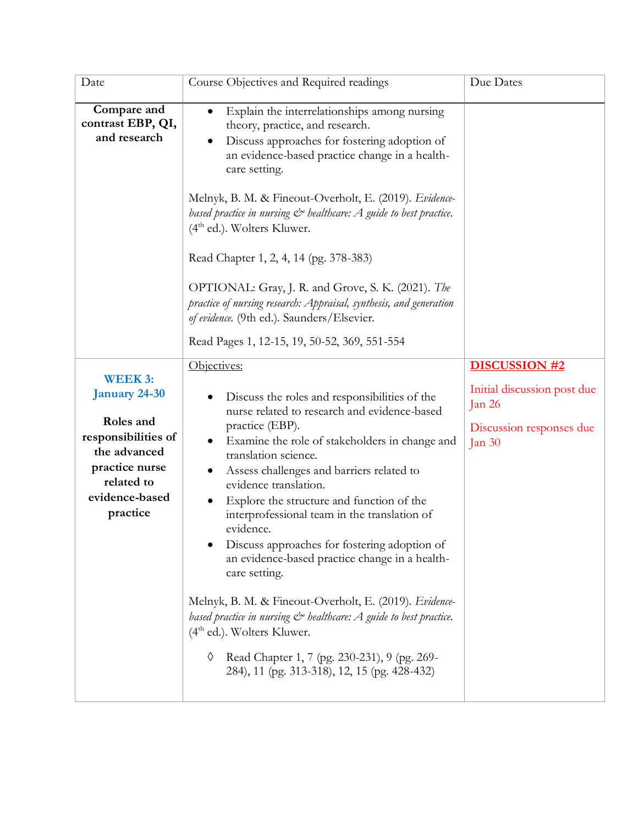| Date                                                                                                                                             | Course Objectives and Required readings                                                                                                                                                                                                                                                                                                                                                                                                                                                                                                                                                                                                                                                                                                                                                        | Due Dates                                                                                               |
|--------------------------------------------------------------------------------------------------------------------------------------------------|------------------------------------------------------------------------------------------------------------------------------------------------------------------------------------------------------------------------------------------------------------------------------------------------------------------------------------------------------------------------------------------------------------------------------------------------------------------------------------------------------------------------------------------------------------------------------------------------------------------------------------------------------------------------------------------------------------------------------------------------------------------------------------------------|---------------------------------------------------------------------------------------------------------|
| Compare and<br>contrast EBP, QI,<br>and research                                                                                                 | Explain the interrelationships among nursing<br>٠<br>theory, practice, and research.<br>Discuss approaches for fostering adoption of<br>an evidence-based practice change in a health-<br>care setting.<br>Melnyk, B. M. & Fineout-Overholt, E. (2019). Evidence-<br>based practice in nursing $C^*$ healthcare: A guide to best practice.<br>$(4th$ ed.). Wolters Kluwer.<br>Read Chapter 1, 2, 4, 14 (pg. 378-383)<br>OPTIONAL: Gray, J. R. and Grove, S. K. (2021). The<br>practice of nursing research: Appraisal, synthesis, and generation<br>of evidence. (9th ed.). Saunders/Elsevier.<br>Read Pages 1, 12-15, 19, 50-52, 369, 551-554                                                                                                                                                 |                                                                                                         |
| <b>WEEK3:</b><br>January 24-30<br>Roles and<br>responsibilities of<br>the advanced<br>practice nurse<br>related to<br>evidence-based<br>practice | Objectives:<br>Discuss the roles and responsibilities of the<br>nurse related to research and evidence-based<br>practice (EBP).<br>Examine the role of stakeholders in change and<br>translation science.<br>Assess challenges and barriers related to<br>evidence translation.<br>Explore the structure and function of the<br>interprofessional team in the translation of<br>evidence.<br>Discuss approaches for fostering adoption of<br>an evidence-based practice change in a health-<br>care setting.<br>Melnyk, B. M. & Fineout-Overholt, E. (2019). Evidence-<br>based practice in nursing $\mathcal{C}^*$ healthcare: A guide to best practice.<br>$(4th$ ed.). Wolters Kluwer.<br>Read Chapter 1, 7 (pg. 230-231), 9 (pg. 269-<br>♦<br>284), 11 (pg. 313-318), 12, 15 (pg. 428-432) | <b>DISCUSSION #2</b><br>Initial discussion post due<br>Jan $26$<br>Discussion responses due<br>Jan $30$ |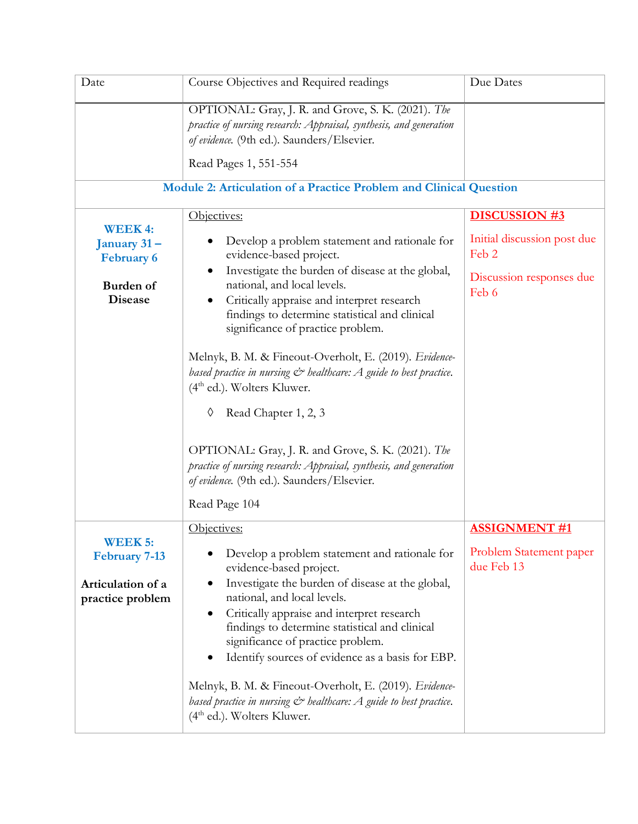| Date                                                                             | Course Objectives and Required readings                                                                                                                                                                                                                                                                                                                                                                                                                                                                                                                                                                                                               | Due Dates                                                                                         |
|----------------------------------------------------------------------------------|-------------------------------------------------------------------------------------------------------------------------------------------------------------------------------------------------------------------------------------------------------------------------------------------------------------------------------------------------------------------------------------------------------------------------------------------------------------------------------------------------------------------------------------------------------------------------------------------------------------------------------------------------------|---------------------------------------------------------------------------------------------------|
|                                                                                  | OPTIONAL: Gray, J. R. and Grove, S. K. (2021). The<br>practice of nursing research: Appraisal, synthesis, and generation<br>of evidence. (9th ed.). Saunders/Elsevier.<br>Read Pages 1, 551-554                                                                                                                                                                                                                                                                                                                                                                                                                                                       |                                                                                                   |
|                                                                                  | Module 2: Articulation of a Practice Problem and Clinical Question                                                                                                                                                                                                                                                                                                                                                                                                                                                                                                                                                                                    |                                                                                                   |
| <b>WEEK4:</b><br>January 31-<br><b>February 6</b><br>Burden of<br><b>Disease</b> | Objectives:<br>Develop a problem statement and rationale for<br>evidence-based project.<br>Investigate the burden of disease at the global,<br>national, and local levels.<br>Critically appraise and interpret research<br>findings to determine statistical and clinical<br>significance of practice problem.<br>Melnyk, B. M. & Fineout-Overholt, E. (2019). Evidence-<br>based practice in nursing $\mathcal{C}^*$ healthcare: A guide to best practice.<br>$(4th$ ed.). Wolters Kluwer.<br>Read Chapter 1, 2, 3<br>♦<br>OPTIONAL: Gray, J. R. and Grove, S. K. (2021). The<br>practice of nursing research: Appraisal, synthesis, and generation | <b>DISCUSSION #3</b><br>Initial discussion post due<br>Feb 2<br>Discussion responses due<br>Feb 6 |
|                                                                                  | of evidence. (9th ed.). Saunders/Elsevier.<br>Read Page 104                                                                                                                                                                                                                                                                                                                                                                                                                                                                                                                                                                                           |                                                                                                   |
| <b>WEEK 5:</b><br><b>February 7-13</b><br>Articulation of a<br>practice problem  | Objectives:<br>Develop a problem statement and rationale for<br>evidence-based project.<br>Investigate the burden of disease at the global,<br>national, and local levels.<br>Critically appraise and interpret research<br>findings to determine statistical and clinical<br>significance of practice problem.<br>Identify sources of evidence as a basis for EBP.<br>Melnyk, B. M. & Fineout-Overholt, E. (2019). Evidence-<br>based practice in nursing $C^*$ healthcare: A guide to best practice.<br>$(4th$ ed.). Wolters Kluwer.                                                                                                                | <b>ASSIGNMENT #1</b><br>Problem Statement paper<br>due Feb 13                                     |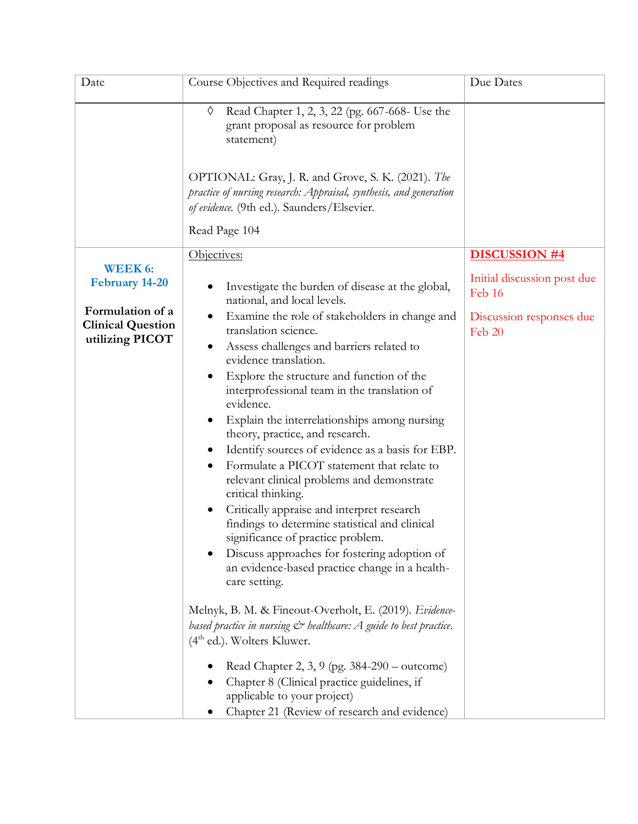| Date                                                            | Course Objectives and Required readings                                                                                                                                                                                                                                                                                                                                                                                                                                                                                                                                                                                                                                                                                                                                                           | Due Dates                                                     |
|-----------------------------------------------------------------|---------------------------------------------------------------------------------------------------------------------------------------------------------------------------------------------------------------------------------------------------------------------------------------------------------------------------------------------------------------------------------------------------------------------------------------------------------------------------------------------------------------------------------------------------------------------------------------------------------------------------------------------------------------------------------------------------------------------------------------------------------------------------------------------------|---------------------------------------------------------------|
|                                                                 | Read Chapter 1, 2, 3, 22 (pg. 667-668- Use the<br>♦<br>grant proposal as resource for problem<br>statement)<br>OPTIONAL: Gray, J. R. and Grove, S. K. (2021). The                                                                                                                                                                                                                                                                                                                                                                                                                                                                                                                                                                                                                                 |                                                               |
|                                                                 | practice of nursing research: Appraisal, synthesis, and generation<br>of evidence. (9th ed.). Saunders/Elsevier.                                                                                                                                                                                                                                                                                                                                                                                                                                                                                                                                                                                                                                                                                  |                                                               |
|                                                                 | Read Page 104                                                                                                                                                                                                                                                                                                                                                                                                                                                                                                                                                                                                                                                                                                                                                                                     |                                                               |
| <b>WEEK 6:</b><br><b>February 14-20</b>                         | Objectives:<br>Investigate the burden of disease at the global,<br>national, and local levels.                                                                                                                                                                                                                                                                                                                                                                                                                                                                                                                                                                                                                                                                                                    | <b>DISCUSSION #4</b><br>Initial discussion post due<br>Feb 16 |
| Formulation of a<br><b>Clinical Question</b><br>utilizing PICOT | Examine the role of stakeholders in change and<br>translation science.<br>Assess challenges and barriers related to<br>$\bullet$<br>evidence translation.<br>Explore the structure and function of the<br>interprofessional team in the translation of<br>evidence.<br>Explain the interrelationships among nursing<br>$\bullet$<br>theory, practice, and research.<br>Identify sources of evidence as a basis for EBP.<br>Formulate a PICOT statement that relate to<br>relevant clinical problems and demonstrate<br>critical thinking.<br>Critically appraise and interpret research<br>findings to determine statistical and clinical<br>significance of practice problem.<br>Discuss approaches for fostering adoption of<br>an evidence-based practice change in a health-<br>care setting. | Discussion responses due<br>Feb 20                            |
|                                                                 | Melnyk, B. M. & Fineout-Overholt, E. (2019). Evidence-<br>based practice in nursing $C^*$ healthcare: A guide to best practice.<br>$(4th$ ed.). Wolters Kluwer.<br>Read Chapter 2, 3, 9 (pg. 384-290 – outcome)<br>Chapter 8 (Clinical practice guidelines, if<br>applicable to your project)<br>Chapter 21 (Review of research and evidence)                                                                                                                                                                                                                                                                                                                                                                                                                                                     |                                                               |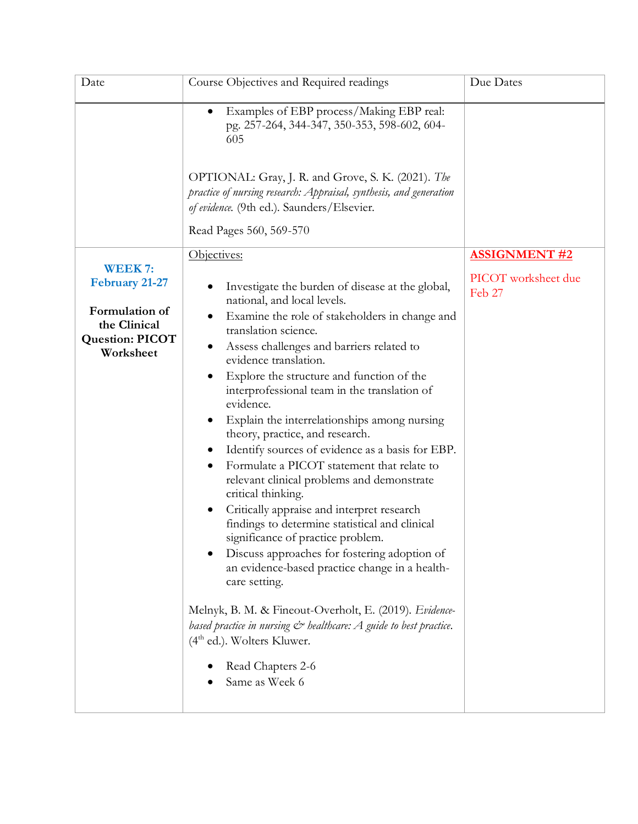| Date                                                                                                            | Course Objectives and Required readings                                                                                                                                                                                                                                                                                                                                                                                                                                                                                                                                                                                                                                                                                                                                                                                                                                                                                                                                                                                                                              | Due Dates                     |
|-----------------------------------------------------------------------------------------------------------------|----------------------------------------------------------------------------------------------------------------------------------------------------------------------------------------------------------------------------------------------------------------------------------------------------------------------------------------------------------------------------------------------------------------------------------------------------------------------------------------------------------------------------------------------------------------------------------------------------------------------------------------------------------------------------------------------------------------------------------------------------------------------------------------------------------------------------------------------------------------------------------------------------------------------------------------------------------------------------------------------------------------------------------------------------------------------|-------------------------------|
|                                                                                                                 | Examples of EBP process/Making EBP real:<br>pg. 257-264, 344-347, 350-353, 598-602, 604-<br>605                                                                                                                                                                                                                                                                                                                                                                                                                                                                                                                                                                                                                                                                                                                                                                                                                                                                                                                                                                      |                               |
|                                                                                                                 | OPTIONAL: Gray, J. R. and Grove, S. K. (2021). The<br>practice of nursing research: Appraisal, synthesis, and generation<br>of evidence. (9th ed.). Saunders/Elsevier.<br>Read Pages 560, 569-570                                                                                                                                                                                                                                                                                                                                                                                                                                                                                                                                                                                                                                                                                                                                                                                                                                                                    |                               |
|                                                                                                                 | Objectives:                                                                                                                                                                                                                                                                                                                                                                                                                                                                                                                                                                                                                                                                                                                                                                                                                                                                                                                                                                                                                                                          | <b>ASSIGNMENT #2</b>          |
| <b>WEEK7:</b><br><b>February 21-27</b><br>Formulation of<br>the Clinical<br><b>Question: PICOT</b><br>Worksheet | Investigate the burden of disease at the global,<br>national, and local levels.<br>Examine the role of stakeholders in change and<br>translation science.<br>Assess challenges and barriers related to<br>evidence translation.<br>Explore the structure and function of the<br>interprofessional team in the translation of<br>evidence.<br>Explain the interrelationships among nursing<br>theory, practice, and research.<br>Identify sources of evidence as a basis for EBP.<br>Formulate a PICOT statement that relate to<br>relevant clinical problems and demonstrate<br>critical thinking.<br>Critically appraise and interpret research<br>findings to determine statistical and clinical<br>significance of practice problem.<br>Discuss approaches for fostering adoption of<br>an evidence-based practice change in a health-<br>care setting.<br>Melnyk, B. M. & Fineout-Overholt, E. (2019). Evidence-<br>based practice in nursing $C^*$ healthcare: A guide to best practice.<br>$(4th$ ed.). Wolters Kluwer.<br>Read Chapters 2-6<br>Same as Week 6 | PICOT worksheet due<br>Feb 27 |
|                                                                                                                 |                                                                                                                                                                                                                                                                                                                                                                                                                                                                                                                                                                                                                                                                                                                                                                                                                                                                                                                                                                                                                                                                      |                               |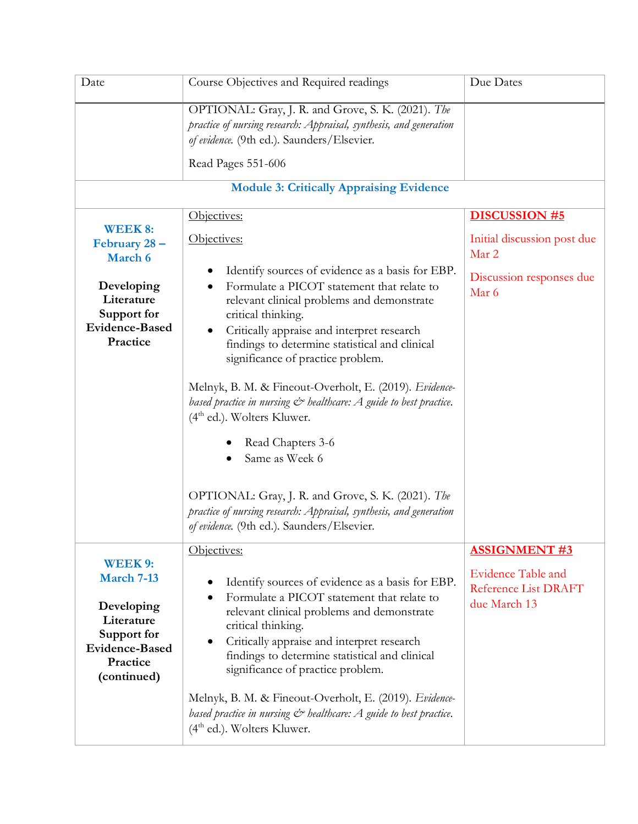| Date                                                                                                                       | Course Objectives and Required readings                                                                                                                                                                                                                                                                                                                                                                                                                                                                                                                                                               | Due Dates                                                                                         |
|----------------------------------------------------------------------------------------------------------------------------|-------------------------------------------------------------------------------------------------------------------------------------------------------------------------------------------------------------------------------------------------------------------------------------------------------------------------------------------------------------------------------------------------------------------------------------------------------------------------------------------------------------------------------------------------------------------------------------------------------|---------------------------------------------------------------------------------------------------|
|                                                                                                                            | OPTIONAL: Gray, J. R. and Grove, S. K. (2021). The<br>practice of nursing research: Appraisal, synthesis, and generation<br>of evidence. (9th ed.). Saunders/Elsevier.<br>Read Pages 551-606                                                                                                                                                                                                                                                                                                                                                                                                          |                                                                                                   |
|                                                                                                                            | <b>Module 3: Critically Appraising Evidence</b>                                                                                                                                                                                                                                                                                                                                                                                                                                                                                                                                                       |                                                                                                   |
| <b>WEEK 8:</b><br>February 28 -<br>March 6<br>Developing<br>Literature<br>Support for<br><b>Evidence-Based</b><br>Practice | Objectives:<br>Objectives:<br>Identify sources of evidence as a basis for EBP.<br>Formulate a PICOT statement that relate to<br>relevant clinical problems and demonstrate<br>critical thinking.<br>Critically appraise and interpret research<br>findings to determine statistical and clinical<br>significance of practice problem.<br>Melnyk, B. M. & Fineout-Overholt, E. (2019). Evidence-<br>based practice in nursing $C^*$ healthcare: A guide to best practice.<br>$(4th$ ed.). Wolters Kluwer.<br>Read Chapters 3-6<br>Same as Week 6<br>OPTIONAL: Gray, J. R. and Grove, S. K. (2021). The | <b>DISCUSSION #5</b><br>Initial discussion post due<br>Mar 2<br>Discussion responses due<br>Mar 6 |
|                                                                                                                            | practice of nursing research: Appraisal, synthesis, and generation<br>of evidence. (9th ed.). Saunders/Elsevier.                                                                                                                                                                                                                                                                                                                                                                                                                                                                                      |                                                                                                   |
| WEEK 9:<br>March 7-13<br>Developing<br>Literature<br>Support for<br><b>Evidence-Based</b><br>Practice<br>(continued)       | Objectives:<br>Identify sources of evidence as a basis for EBP.<br>Formulate a PICOT statement that relate to<br>relevant clinical problems and demonstrate<br>critical thinking.<br>Critically appraise and interpret research<br>findings to determine statistical and clinical<br>significance of practice problem.<br>Melnyk, B. M. & Fineout-Overholt, E. (2019). Evidence-                                                                                                                                                                                                                      | <b>ASSIGNMENT #3</b><br><b>Evidence Table and</b><br>Reference List DRAFT<br>due March 13         |
|                                                                                                                            | based practice in nursing $\mathcal{C}^*$ healthcare: A guide to best practice.<br>$(4th$ ed.). Wolters Kluwer.                                                                                                                                                                                                                                                                                                                                                                                                                                                                                       |                                                                                                   |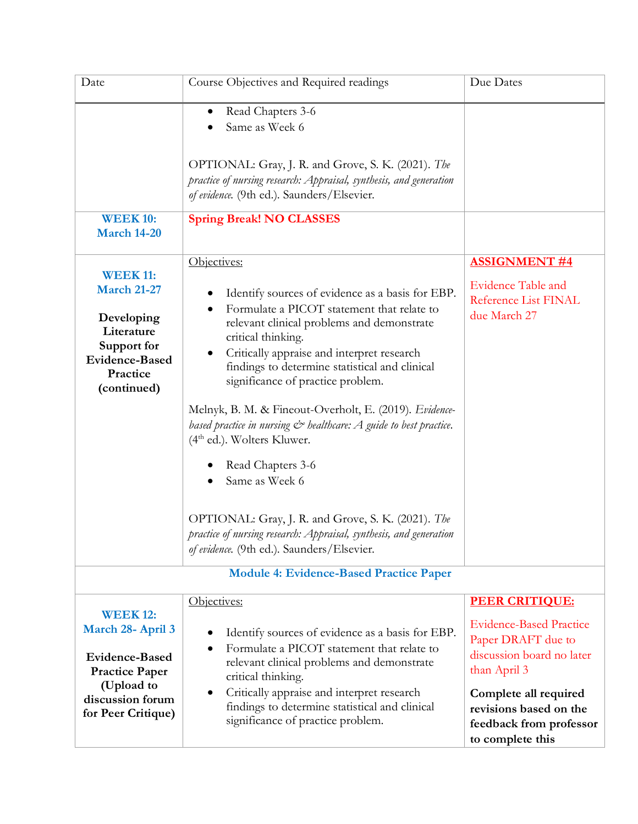| Date                                                                                                                                           | Course Objectives and Required readings                                                                                                                                                                                                                                                                                                                                                                                                                                                                                                                                                                                                                                                                              | Due Dates                                                                                                                                                                                                                    |
|------------------------------------------------------------------------------------------------------------------------------------------------|----------------------------------------------------------------------------------------------------------------------------------------------------------------------------------------------------------------------------------------------------------------------------------------------------------------------------------------------------------------------------------------------------------------------------------------------------------------------------------------------------------------------------------------------------------------------------------------------------------------------------------------------------------------------------------------------------------------------|------------------------------------------------------------------------------------------------------------------------------------------------------------------------------------------------------------------------------|
|                                                                                                                                                | Read Chapters 3-6<br>$\bullet$<br>Same as Week 6                                                                                                                                                                                                                                                                                                                                                                                                                                                                                                                                                                                                                                                                     |                                                                                                                                                                                                                              |
|                                                                                                                                                | OPTIONAL: Gray, J. R. and Grove, S. K. (2021). The<br>practice of nursing research: Appraisal, synthesis, and generation<br>of evidence. (9th ed.). Saunders/Elsevier.                                                                                                                                                                                                                                                                                                                                                                                                                                                                                                                                               |                                                                                                                                                                                                                              |
| <b>WEEK 10:</b><br><b>March 14-20</b>                                                                                                          | <b>Spring Break! NO CLASSES</b>                                                                                                                                                                                                                                                                                                                                                                                                                                                                                                                                                                                                                                                                                      |                                                                                                                                                                                                                              |
| <b>WEEK 11:</b><br><b>March 21-27</b><br>Developing<br>Literature<br>Support for<br><b>Evidence-Based</b><br>Practice<br>(continued)           | Objectives:<br>Identify sources of evidence as a basis for EBP.<br>Formulate a PICOT statement that relate to<br>relevant clinical problems and demonstrate<br>critical thinking.<br>Critically appraise and interpret research<br>findings to determine statistical and clinical<br>significance of practice problem.<br>Melnyk, B. M. & Fineout-Overholt, E. (2019). Evidence-<br>based practice in nursing $\mathcal{C}^*$ healthcare: A guide to best practice.<br>$(4th$ ed.). Wolters Kluwer.<br>Read Chapters 3-6<br>Same as Week 6<br>OPTIONAL: Gray, J. R. and Grove, S. K. (2021). The<br>practice of nursing research: Appraisal, synthesis, and generation<br>of evidence. (9th ed.). Saunders/Elsevier. | <b>ASSIGNMENT #4</b><br><b>Evidence Table and</b><br>Reference List FINAL<br>due March 27                                                                                                                                    |
|                                                                                                                                                | <b>Module 4: Evidence-Based Practice Paper</b>                                                                                                                                                                                                                                                                                                                                                                                                                                                                                                                                                                                                                                                                       |                                                                                                                                                                                                                              |
| <b>WEEK 12:</b><br>March 28- April 3<br><b>Evidence-Based</b><br><b>Practice Paper</b><br>(Upload to<br>discussion forum<br>for Peer Critique) | Objectives:<br>Identify sources of evidence as a basis for EBP.<br>Formulate a PICOT statement that relate to<br>relevant clinical problems and demonstrate<br>critical thinking.<br>Critically appraise and interpret research<br>$\bullet$<br>findings to determine statistical and clinical<br>significance of practice problem.                                                                                                                                                                                                                                                                                                                                                                                  | <b>PEER CRITIQUE:</b><br><b>Evidence-Based Practice</b><br>Paper DRAFT due to<br>discussion board no later<br>than April 3<br>Complete all required<br>revisions based on the<br>feedback from professor<br>to complete this |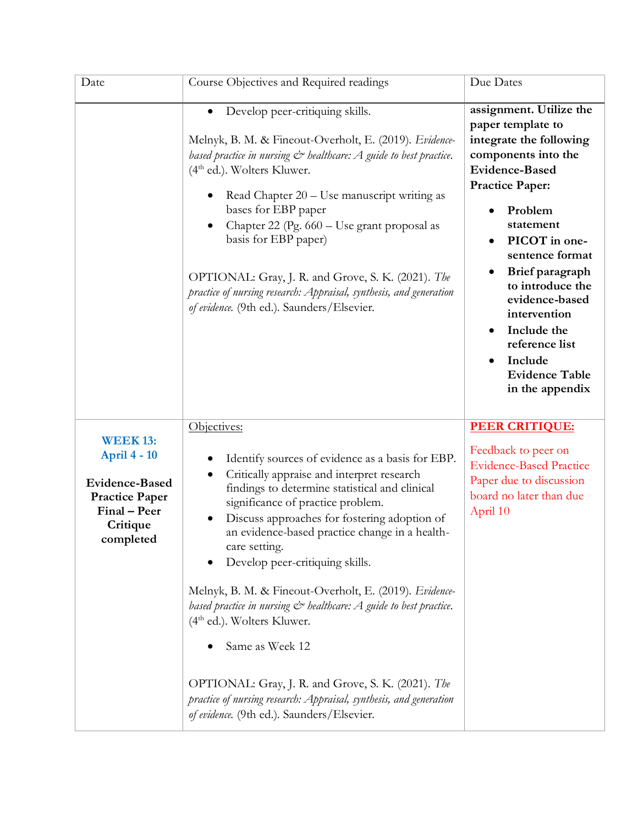| Date                                                                                                                              | Course Objectives and Required readings                                                                                                                                                                                                                                                                                                                                                                                                                                                                                                                                                                                                                                                                                                              | Due Dates                                                                                                                                                                                                                                                                                                                                                                      |
|-----------------------------------------------------------------------------------------------------------------------------------|------------------------------------------------------------------------------------------------------------------------------------------------------------------------------------------------------------------------------------------------------------------------------------------------------------------------------------------------------------------------------------------------------------------------------------------------------------------------------------------------------------------------------------------------------------------------------------------------------------------------------------------------------------------------------------------------------------------------------------------------------|--------------------------------------------------------------------------------------------------------------------------------------------------------------------------------------------------------------------------------------------------------------------------------------------------------------------------------------------------------------------------------|
|                                                                                                                                   | Develop peer-critiquing skills.<br>Melnyk, B. M. & Fineout-Overholt, E. (2019). Evidence-<br>based practice in nursing $C^*$ healthcare: A guide to best practice.<br>$(4th$ ed.). Wolters Kluwer.<br>Read Chapter 20 - Use manuscript writing as<br>bases for EBP paper<br>Chapter 22 (Pg. 660 - Use grant proposal as<br>basis for EBP paper)<br>OPTIONAL: Gray, J. R. and Grove, S. K. (2021). The<br>practice of nursing research: Appraisal, synthesis, and generation<br>of evidence. (9th ed.). Saunders/Elsevier.                                                                                                                                                                                                                            | assignment. Utilize the<br>paper template to<br>integrate the following<br>components into the<br><b>Evidence-Based</b><br><b>Practice Paper:</b><br>Problem<br>statement<br>PICOT in one-<br>sentence format<br>Brief paragraph<br>to introduce the<br>evidence-based<br>intervention<br>Include the<br>reference list<br>Include<br><b>Evidence Table</b><br>in the appendix |
| <b>WEEK 13:</b><br><b>April 4 - 10</b><br><b>Evidence-Based</b><br><b>Practice Paper</b><br>Final - Peer<br>Critique<br>completed | Objectives:<br>Identify sources of evidence as a basis for EBP.<br>$\bullet$<br>Critically appraise and interpret research<br>$\bullet$<br>findings to determine statistical and clinical<br>significance of practice problem.<br>Discuss approaches for fostering adoption of<br>an evidence-based practice change in a health-<br>care setting.<br>Develop peer-critiquing skills.<br>Melnyk, B. M. & Fineout-Overholt, E. (2019). Evidence-<br>based practice in nursing $C^*$ healthcare: A guide to best practice.<br>$(4th$ ed.). Wolters Kluwer.<br>Same as Week 12<br>OPTIONAL: Gray, J. R. and Grove, S. K. (2021). The<br>practice of nursing research: Appraisal, synthesis, and generation<br>of evidence. (9th ed.). Saunders/Elsevier. | <b>PEER CRITIQUE:</b><br>Feedback to peer on<br><b>Evidence-Based Practice</b><br>Paper due to discussion<br>board no later than due<br>April 10                                                                                                                                                                                                                               |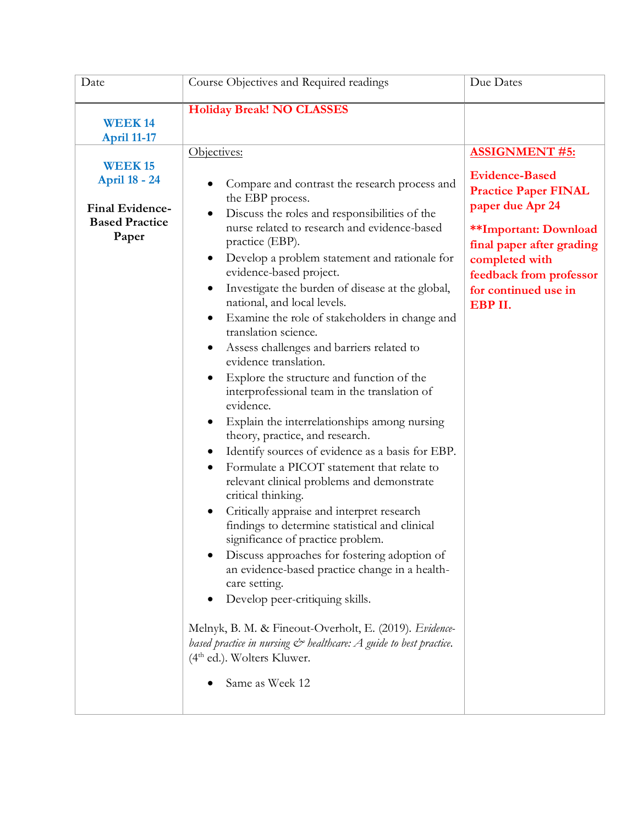| Date                                                                                                                    | Course Objectives and Required readings                                                                                                                                                                                                                                                                                                                                                                                                                                                                                                                                                                                                                                                                                                                                                                                                                                                                                                                                                                                                                                                                                                                                                                                                                                                                                                                                                        | Due Dates                                                                                                                                                                                                                                      |
|-------------------------------------------------------------------------------------------------------------------------|------------------------------------------------------------------------------------------------------------------------------------------------------------------------------------------------------------------------------------------------------------------------------------------------------------------------------------------------------------------------------------------------------------------------------------------------------------------------------------------------------------------------------------------------------------------------------------------------------------------------------------------------------------------------------------------------------------------------------------------------------------------------------------------------------------------------------------------------------------------------------------------------------------------------------------------------------------------------------------------------------------------------------------------------------------------------------------------------------------------------------------------------------------------------------------------------------------------------------------------------------------------------------------------------------------------------------------------------------------------------------------------------|------------------------------------------------------------------------------------------------------------------------------------------------------------------------------------------------------------------------------------------------|
| <b>WEEK14</b>                                                                                                           | <b>Holiday Break! NO CLASSES</b>                                                                                                                                                                                                                                                                                                                                                                                                                                                                                                                                                                                                                                                                                                                                                                                                                                                                                                                                                                                                                                                                                                                                                                                                                                                                                                                                                               |                                                                                                                                                                                                                                                |
| <b>April 11-17</b><br><b>WEEK15</b><br><b>April 18 - 24</b><br><b>Final Evidence-</b><br><b>Based Practice</b><br>Paper | Objectives:<br>Compare and contrast the research process and<br>the EBP process.<br>Discuss the roles and responsibilities of the<br>nurse related to research and evidence-based<br>practice (EBP).<br>Develop a problem statement and rationale for<br>evidence-based project.<br>Investigate the burden of disease at the global,<br>national, and local levels.<br>Examine the role of stakeholders in change and<br>translation science.<br>Assess challenges and barriers related to<br>evidence translation.<br>Explore the structure and function of the<br>interprofessional team in the translation of<br>evidence.<br>Explain the interrelationships among nursing<br>$\bullet$<br>theory, practice, and research.<br>Identify sources of evidence as a basis for EBP.<br>Formulate a PICOT statement that relate to<br>relevant clinical problems and demonstrate<br>critical thinking.<br>Critically appraise and interpret research<br>findings to determine statistical and clinical<br>significance of practice problem.<br>Discuss approaches for fostering adoption of<br>an evidence-based practice change in a health-<br>care setting.<br>Develop peer-critiquing skills.<br>Melnyk, B. M. & Fineout-Overholt, E. (2019). Evidence-<br>based practice in nursing $\mathcal{C}^*$ healthcare: A guide to best practice.<br>$(4th$ ed.). Wolters Kluwer.<br>Same as Week 12 | <b>ASSIGNMENT #5:</b><br><b>Evidence-Based</b><br><b>Practice Paper FINAL</b><br>paper due Apr 24<br><b>**Important: Download</b><br>final paper after grading<br>completed with<br>feedback from professor<br>for continued use in<br>EBP II. |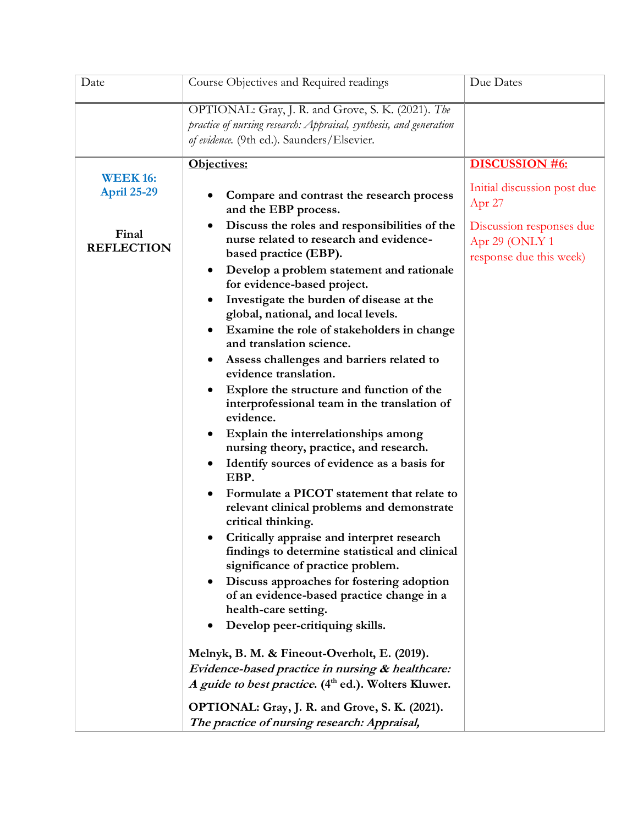| Date                                                                | Course Objectives and Required readings                                                                                                                                                                                                                                                                                                                                                                                                                                                                                                                                                                                                                                                                                                                                                                                                                                                                                                                                                                                                                                                                                                                                                                                                                                                                                                                                        | Due Dates                                                                                                                                 |
|---------------------------------------------------------------------|--------------------------------------------------------------------------------------------------------------------------------------------------------------------------------------------------------------------------------------------------------------------------------------------------------------------------------------------------------------------------------------------------------------------------------------------------------------------------------------------------------------------------------------------------------------------------------------------------------------------------------------------------------------------------------------------------------------------------------------------------------------------------------------------------------------------------------------------------------------------------------------------------------------------------------------------------------------------------------------------------------------------------------------------------------------------------------------------------------------------------------------------------------------------------------------------------------------------------------------------------------------------------------------------------------------------------------------------------------------------------------|-------------------------------------------------------------------------------------------------------------------------------------------|
|                                                                     | OPTIONAL: Gray, J. R. and Grove, S. K. (2021). The<br>practice of nursing research: Appraisal, synthesis, and generation<br>of evidence. (9th ed.). Saunders/Elsevier.                                                                                                                                                                                                                                                                                                                                                                                                                                                                                                                                                                                                                                                                                                                                                                                                                                                                                                                                                                                                                                                                                                                                                                                                         |                                                                                                                                           |
| <b>WEEK 16:</b><br><b>April 25-29</b><br>Final<br><b>REFLECTION</b> | Objectives:<br>Compare and contrast the research process<br>and the EBP process.<br>Discuss the roles and responsibilities of the<br>$\bullet$<br>nurse related to research and evidence-<br>based practice (EBP).<br>Develop a problem statement and rationale<br>for evidence-based project.<br>Investigate the burden of disease at the<br>global, national, and local levels.<br>Examine the role of stakeholders in change<br>and translation science.<br>Assess challenges and barriers related to<br>evidence translation.<br>Explore the structure and function of the<br>interprofessional team in the translation of<br>evidence.<br>Explain the interrelationships among<br>nursing theory, practice, and research.<br>Identify sources of evidence as a basis for<br>٠<br>EBP.<br>Formulate a PICOT statement that relate to<br>relevant clinical problems and demonstrate<br>critical thinking.<br>Critically appraise and interpret research<br>findings to determine statistical and clinical<br>significance of practice problem.<br>Discuss approaches for fostering adoption<br>of an evidence-based practice change in a<br>health-care setting.<br>Develop peer-critiquing skills.<br>Melnyk, B. M. & Fineout-Overholt, E. (2019).<br>Evidence-based practice in nursing & healthcare:<br>A guide to best practice. (4 <sup>th</sup> ed.). Wolters Kluwer. | <b>DISCUSSION #6:</b><br>Initial discussion post due<br>Apr $27$<br>Discussion responses due<br>Apr 29 (ONLY 1<br>response due this week) |
|                                                                     | OPTIONAL: Gray, J. R. and Grove, S. K. (2021).<br>The practice of nursing research: Appraisal,                                                                                                                                                                                                                                                                                                                                                                                                                                                                                                                                                                                                                                                                                                                                                                                                                                                                                                                                                                                                                                                                                                                                                                                                                                                                                 |                                                                                                                                           |